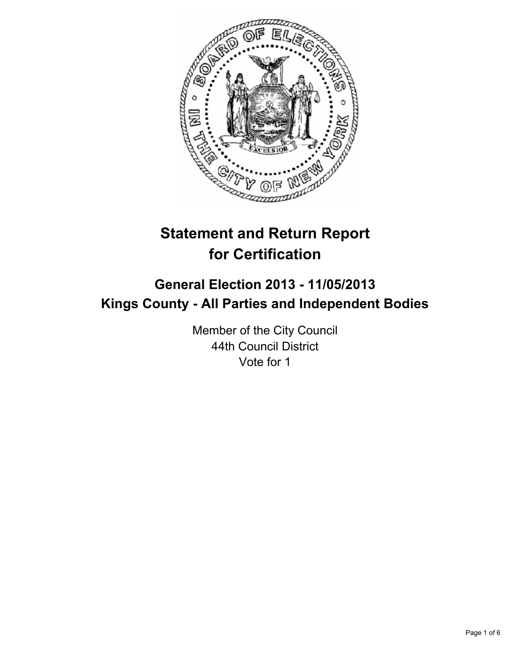

# **Statement and Return Report for Certification**

## **General Election 2013 - 11/05/2013 Kings County - All Parties and Independent Bodies**

Member of the City Council 44th Council District Vote for 1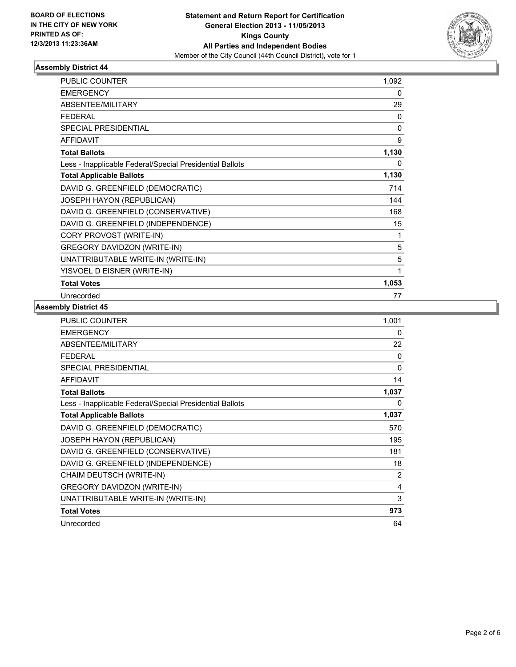

| <b>PUBLIC COUNTER</b>                                    | 1,092 |
|----------------------------------------------------------|-------|
| <b>EMERGENCY</b>                                         | 0     |
| ABSENTEE/MILITARY                                        | 29    |
| <b>FEDERAL</b>                                           | 0     |
| <b>SPECIAL PRESIDENTIAL</b>                              | 0     |
| <b>AFFIDAVIT</b>                                         | 9     |
| <b>Total Ballots</b>                                     | 1,130 |
| Less - Inapplicable Federal/Special Presidential Ballots | 0     |
| <b>Total Applicable Ballots</b>                          | 1,130 |
| DAVID G. GREENFIELD (DEMOCRATIC)                         | 714   |
| JOSEPH HAYON (REPUBLICAN)                                | 144   |
| DAVID G. GREENFIELD (CONSERVATIVE)                       | 168   |
| DAVID G. GREENFIELD (INDEPENDENCE)                       | 15    |
| CORY PROVOST (WRITE-IN)                                  | 1     |
| <b>GREGORY DAVIDZON (WRITE-IN)</b>                       | 5     |
| UNATTRIBUTABLE WRITE-IN (WRITE-IN)                       | 5     |
| YISVOEL D EISNER (WRITE-IN)                              | 1     |
| <b>Total Votes</b>                                       | 1,053 |
| Unrecorded                                               | 77    |

| <b>PUBLIC COUNTER</b>                                    | 1,001        |
|----------------------------------------------------------|--------------|
| <b>EMERGENCY</b>                                         | 0            |
| <b>ABSENTEE/MILITARY</b>                                 | 22           |
| <b>FEDERAL</b>                                           | $\mathbf{0}$ |
| <b>SPECIAL PRESIDENTIAL</b>                              | $\mathbf{0}$ |
| <b>AFFIDAVIT</b>                                         | 14           |
| <b>Total Ballots</b>                                     | 1,037        |
| Less - Inapplicable Federal/Special Presidential Ballots | 0            |
| <b>Total Applicable Ballots</b>                          | 1,037        |
| DAVID G. GREENFIELD (DEMOCRATIC)                         | 570          |
| <b>JOSEPH HAYON (REPUBLICAN)</b>                         | 195          |
| DAVID G. GREENFIELD (CONSERVATIVE)                       | 181          |
| DAVID G. GREENFIELD (INDEPENDENCE)                       | 18           |
| CHAIM DEUTSCH (WRITE-IN)                                 | 2            |
| <b>GREGORY DAVIDZON (WRITE-IN)</b>                       | 4            |
| UNATTRIBUTABLE WRITE-IN (WRITE-IN)                       | 3            |
| <b>Total Votes</b>                                       | 973          |
| Unrecorded                                               | 64           |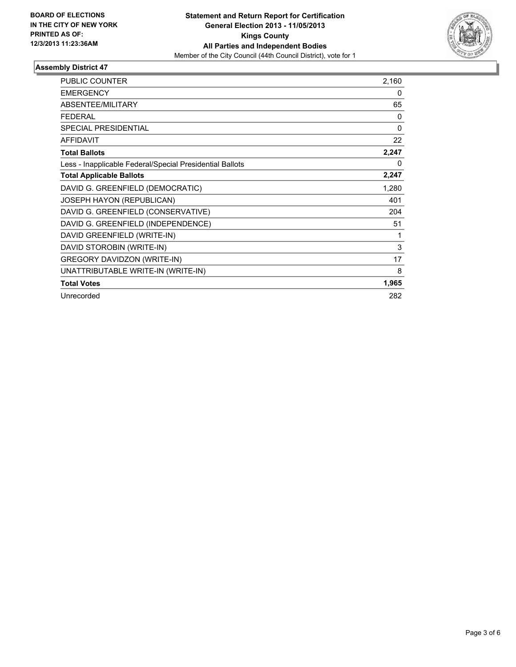

| <b>PUBLIC COUNTER</b>                                    | 2,160        |
|----------------------------------------------------------|--------------|
| <b>EMERGENCY</b>                                         | $\mathbf{0}$ |
| <b>ABSENTEE/MILITARY</b>                                 | 65           |
| <b>FEDERAL</b>                                           | $\mathbf{0}$ |
| <b>SPECIAL PRESIDENTIAL</b>                              | $\mathbf{0}$ |
| <b>AFFIDAVIT</b>                                         | 22           |
| <b>Total Ballots</b>                                     | 2,247        |
| Less - Inapplicable Federal/Special Presidential Ballots | 0            |
| <b>Total Applicable Ballots</b>                          | 2,247        |
| DAVID G. GREENFIELD (DEMOCRATIC)                         | 1,280        |
| JOSEPH HAYON (REPUBLICAN)                                | 401          |
| DAVID G. GREENFIELD (CONSERVATIVE)                       | 204          |
| DAVID G. GREENFIELD (INDEPENDENCE)                       | 51           |
| DAVID GREENFIELD (WRITE-IN)                              | 1            |
| DAVID STOROBIN (WRITE-IN)                                | 3            |
| <b>GREGORY DAVIDZON (WRITE-IN)</b>                       | 17           |
| UNATTRIBUTABLE WRITE-IN (WRITE-IN)                       | 8            |
| <b>Total Votes</b>                                       | 1,965        |
| Unrecorded                                               | 282          |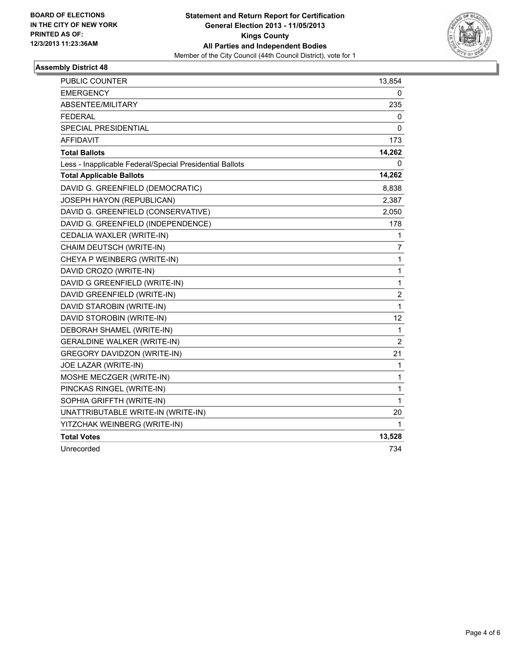

| <b>PUBLIC COUNTER</b>                                    | 13,854         |
|----------------------------------------------------------|----------------|
| <b>EMERGENCY</b>                                         | 0              |
| ABSENTEE/MILITARY                                        | 235            |
| <b>FEDERAL</b>                                           | 0              |
| SPECIAL PRESIDENTIAL                                     | 0              |
| <b>AFFIDAVIT</b>                                         | 173            |
| <b>Total Ballots</b>                                     | 14,262         |
| Less - Inapplicable Federal/Special Presidential Ballots | 0              |
| <b>Total Applicable Ballots</b>                          | 14,262         |
| DAVID G. GREENFIELD (DEMOCRATIC)                         | 8,838          |
| JOSEPH HAYON (REPUBLICAN)                                | 2,387          |
| DAVID G. GREENFIELD (CONSERVATIVE)                       | 2,050          |
| DAVID G. GREENFIELD (INDEPENDENCE)                       | 178            |
| CEDALIA WAXLER (WRITE-IN)                                | 1              |
| CHAIM DEUTSCH (WRITE-IN)                                 | 7              |
| CHEYA P WEINBERG (WRITE-IN)                              | 1              |
| DAVID CROZO (WRITE-IN)                                   | 1              |
| DAVID G GREENFIELD (WRITE-IN)                            | $\mathbf{1}$   |
| DAVID GREENFIELD (WRITE-IN)                              | $\overline{c}$ |
| DAVID STAROBIN (WRITE-IN)                                | 1              |
| DAVID STOROBIN (WRITE-IN)                                | 12             |
| DEBORAH SHAMEL (WRITE-IN)                                | $\mathbf{1}$   |
| <b>GERALDINE WALKER (WRITE-IN)</b>                       | $\overline{2}$ |
| <b>GREGORY DAVIDZON (WRITE-IN)</b>                       | 21             |
| JOE LAZAR (WRITE-IN)                                     | 1              |
| MOSHE MECZGER (WRITE-IN)                                 | 1              |
| PINCKAS RINGEL (WRITE-IN)                                | 1              |
| SOPHIA GRIFFTH (WRITE-IN)                                | 1              |
| UNATTRIBUTABLE WRITE-IN (WRITE-IN)                       | 20             |
| YITZCHAK WEINBERG (WRITE-IN)                             | 1              |
| <b>Total Votes</b>                                       | 13,528         |
| Unrecorded                                               | 734            |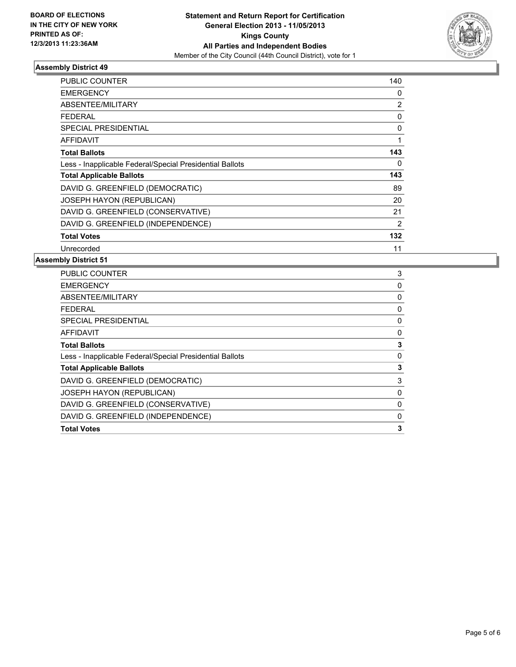

| <b>PUBLIC COUNTER</b>                                    | 140            |
|----------------------------------------------------------|----------------|
| <b>EMERGENCY</b>                                         | 0              |
| ABSENTEE/MILITARY                                        | $\overline{2}$ |
| <b>FEDERAL</b>                                           | 0              |
| <b>SPECIAL PRESIDENTIAL</b>                              | 0              |
| <b>AFFIDAVIT</b>                                         |                |
| <b>Total Ballots</b>                                     | 143            |
| Less - Inapplicable Federal/Special Presidential Ballots | 0              |
| <b>Total Applicable Ballots</b>                          | 143            |
| DAVID G. GREENFIELD (DEMOCRATIC)                         | 89             |
| <b>JOSEPH HAYON (REPUBLICAN)</b>                         | 20             |
| DAVID G. GREENFIELD (CONSERVATIVE)                       | 21             |
| DAVID G. GREENFIELD (INDEPENDENCE)                       | $\overline{2}$ |
| <b>Total Votes</b>                                       | 132            |
| Unrecorded                                               | 11             |

| 3 |
|---|
| 0 |
| 0 |
| 0 |
| 0 |
| 0 |
| 3 |
| 0 |
| 3 |
| 3 |
| 0 |
| 0 |
| 0 |
| 3 |
|   |